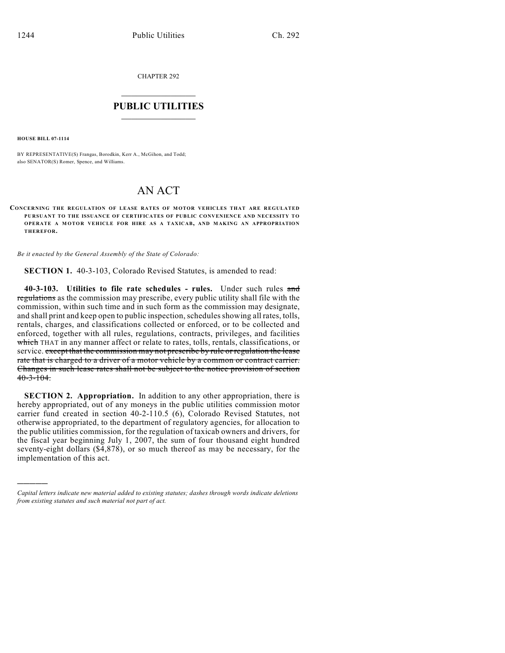CHAPTER 292

## $\overline{\phantom{a}}$  . The set of the set of the set of the set of the set of the set of the set of the set of the set of the set of the set of the set of the set of the set of the set of the set of the set of the set of the set o **PUBLIC UTILITIES** \_\_\_\_\_\_\_\_\_\_\_\_\_\_\_

**HOUSE BILL 07-1114**

)))))

BY REPRESENTATIVE(S) Frangas, Borodkin, Kerr A., McGihon, and Todd; also SENATOR(S) Romer, Spence, and Williams.

## AN ACT

**CONCERNING THE REGULATION OF LEASE RATES OF MOTOR VEHICLES THAT ARE REGULATED PURSUANT TO THE ISSUANCE OF CERTIFICATES OF PUBLIC CONVENIENCE AND NECESSITY TO OPERATE A M OTOR VEHICLE FOR HIRE AS A TAXICAB, AND MAKING AN APPROPRIATION THEREFOR.**

*Be it enacted by the General Assembly of the State of Colorado:*

**SECTION 1.** 40-3-103, Colorado Revised Statutes, is amended to read:

**40-3-103. Utilities to file rate schedules - rules.** Under such rules and regulations as the commission may prescribe, every public utility shall file with the commission, within such time and in such form as the commission may designate, and shall print and keep open to public inspection, schedules showing all rates, tolls, rentals, charges, and classifications collected or enforced, or to be collected and enforced, together with all rules, regulations, contracts, privileges, and facilities which THAT in any manner affect or relate to rates, tolls, rentals, classifications, or service. except that the commission may not prescribe by rule or regulation the lease rate that is charged to a driver of a motor vehicle by a common or contract carrier. Changes in such lease rates shall not be subject to the notice provision of section  $40 - 3 - 104$ .

**SECTION 2. Appropriation.** In addition to any other appropriation, there is hereby appropriated, out of any moneys in the public utilities commission motor carrier fund created in section 40-2-110.5 (6), Colorado Revised Statutes, not otherwise appropriated, to the department of regulatory agencies, for allocation to the public utilities commission, for the regulation of taxicab owners and drivers, for the fiscal year beginning July 1, 2007, the sum of four thousand eight hundred seventy-eight dollars (\$4,878), or so much thereof as may be necessary, for the implementation of this act.

*Capital letters indicate new material added to existing statutes; dashes through words indicate deletions from existing statutes and such material not part of act.*